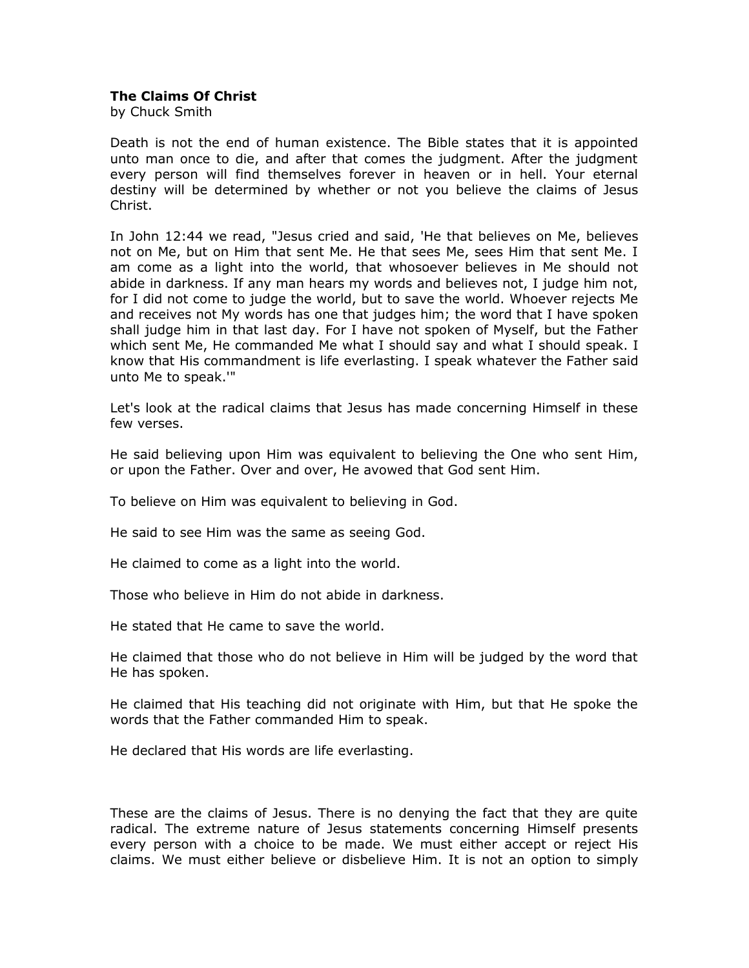## **The Claims Of Christ**

by Chuck Smith

Death is not the end of human existence. The Bible states that it is appointed unto man once to die, and after that comes the judgment. After the judgment every person will find themselves forever in heaven or in hell. Your eternal destiny will be determined by whether or not you believe the claims of Jesus Christ.

In John 12:44 we read, "Jesus cried and said, 'He that believes on Me, believes not on Me, but on Him that sent Me. He that sees Me, sees Him that sent Me. I am come as a light into the world, that whosoever believes in Me should not abide in darkness. If any man hears my words and believes not, I judge him not, for I did not come to judge the world, but to save the world. Whoever rejects Me and receives not My words has one that judges him; the word that I have spoken shall judge him in that last day. For I have not spoken of Myself, but the Father which sent Me, He commanded Me what I should say and what I should speak. I know that His commandment is life everlasting. I speak whatever the Father said unto Me to speak.'"

Let's look at the radical claims that Jesus has made concerning Himself in these few verses.

He said believing upon Him was equivalent to believing the One who sent Him, or upon the Father. Over and over, He avowed that God sent Him.

To believe on Him was equivalent to believing in God.

He said to see Him was the same as seeing God.

He claimed to come as a light into the world.

Those who believe in Him do not abide in darkness.

He stated that He came to save the world.

He claimed that those who do not believe in Him will be judged by the word that He has spoken.

He claimed that His teaching did not originate with Him, but that He spoke the words that the Father commanded Him to speak.

He declared that His words are life everlasting.

These are the claims of Jesus. There is no denying the fact that they are quite radical. The extreme nature of Jesus statements concerning Himself presents every person with a choice to be made. We must either accept or reject His claims. We must either believe or disbelieve Him. It is not an option to simply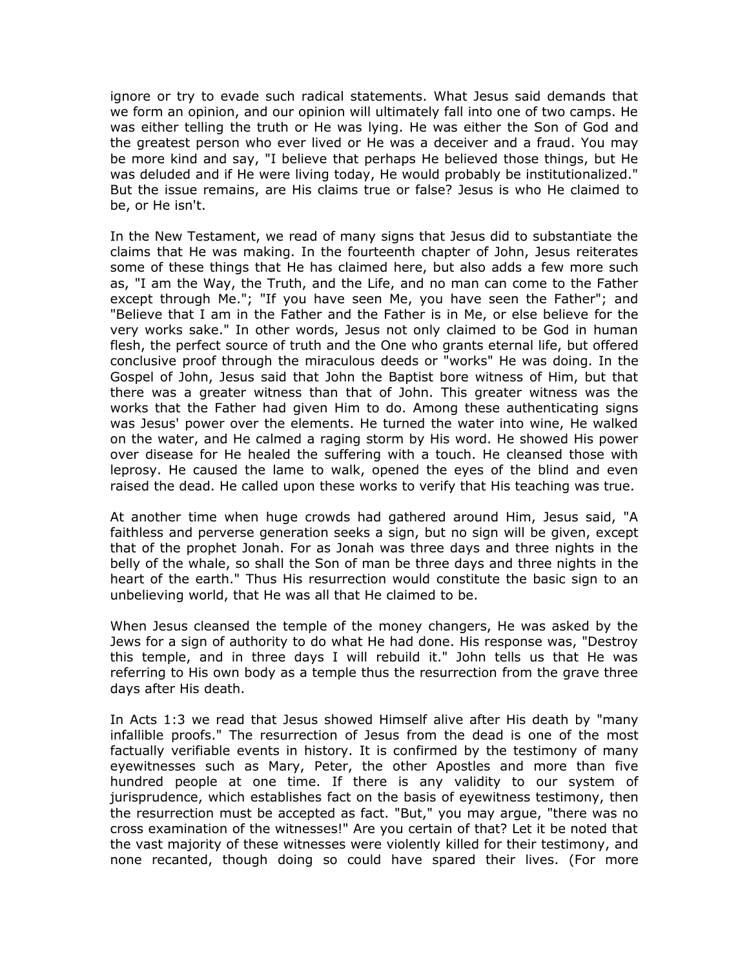ignore or try to evade such radical statements. What Jesus said demands that we form an opinion, and our opinion will ultimately fall into one of two camps. He was either telling the truth or He was lying. He was either the Son of God and the greatest person who ever lived or He was a deceiver and a fraud. You may be more kind and say, "I believe that perhaps He believed those things, but He was deluded and if He were living today, He would probably be institutionalized." But the issue remains, are His claims true or false? Jesus is who He claimed to be, or He isn't.

In the New Testament, we read of many signs that Jesus did to substantiate the claims that He was making. In the fourteenth chapter of John, Jesus reiterates some of these things that He has claimed here, but also adds a few more such as, "I am the Way, the Truth, and the Life, and no man can come to the Father except through Me."; "If you have seen Me, you have seen the Father"; and "Believe that I am in the Father and the Father is in Me, or else believe for the very works sake." In other words, Jesus not only claimed to be God in human flesh, the perfect source of truth and the One who grants eternal life, but offered conclusive proof through the miraculous deeds or "works" He was doing. In the Gospel of John, Jesus said that John the Baptist bore witness of Him, but that there was a greater witness than that of John. This greater witness was the works that the Father had given Him to do. Among these authenticating signs was Jesus' power over the elements. He turned the water into wine, He walked on the water, and He calmed a raging storm by His word. He showed His power over disease for He healed the suffering with a touch. He cleansed those with leprosy. He caused the lame to walk, opened the eyes of the blind and even raised the dead. He called upon these works to verify that His teaching was true.

At another time when huge crowds had gathered around Him, Jesus said, "A faithless and perverse generation seeks a sign, but no sign will be given, except that of the prophet Jonah. For as Jonah was three days and three nights in the belly of the whale, so shall the Son of man be three days and three nights in the heart of the earth." Thus His resurrection would constitute the basic sign to an unbelieving world, that He was all that He claimed to be.

When Jesus cleansed the temple of the money changers, He was asked by the Jews for a sign of authority to do what He had done. His response was, "Destroy this temple, and in three days I will rebuild it." John tells us that He was referring to His own body as a temple thus the resurrection from the grave three days after His death.

In Acts 1:3 we read that Jesus showed Himself alive after His death by "many infallible proofs." The resurrection of Jesus from the dead is one of the most factually verifiable events in history. It is confirmed by the testimony of many eyewitnesses such as Mary, Peter, the other Apostles and more than five hundred people at one time. If there is any validity to our system of jurisprudence, which establishes fact on the basis of eyewitness testimony, then the resurrection must be accepted as fact. "But," you may argue, "there was no cross examination of the witnesses!" Are you certain of that? Let it be noted that the vast majority of these witnesses were violently killed for their testimony, and none recanted, though doing so could have spared their lives. (For more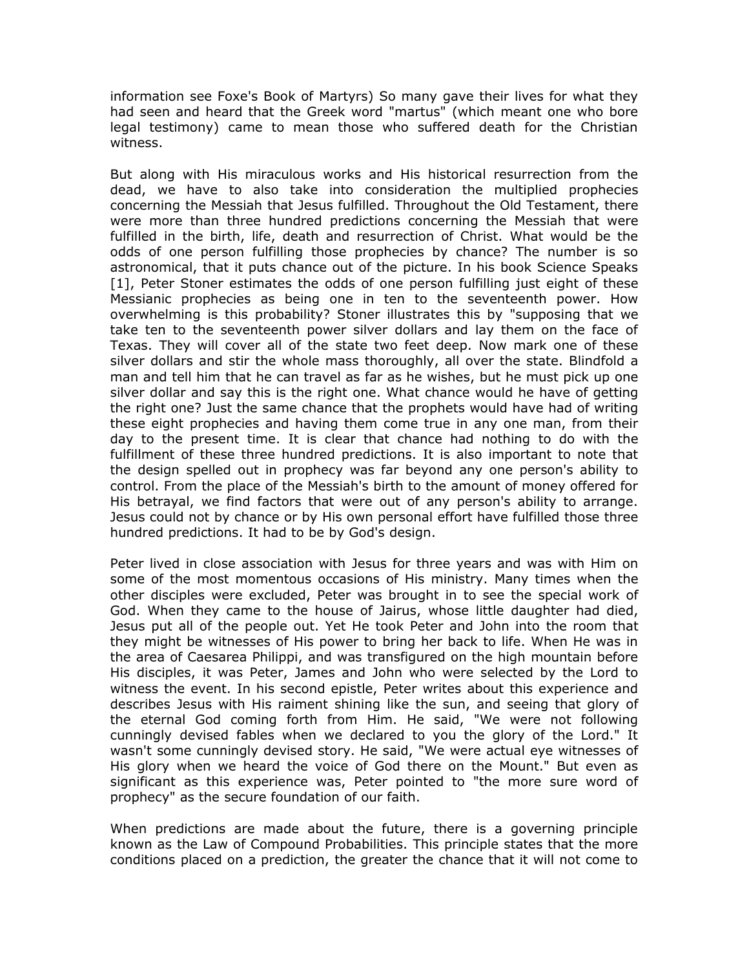information see Foxe's Book of Martyrs) So many gave their lives for what they had seen and heard that the Greek word "martus" (which meant one who bore legal testimony) came to mean those who suffered death for the Christian witness.

But along with His miraculous works and His historical resurrection from the dead, we have to also take into consideration the multiplied prophecies concerning the Messiah that Jesus fulfilled. Throughout the Old Testament, there were more than three hundred predictions concerning the Messiah that were fulfilled in the birth, life, death and resurrection of Christ. What would be the odds of one person fulfilling those prophecies by chance? The number is so astronomical, that it puts chance out of the picture. In his book Science Speaks [1], Peter Stoner estimates the odds of one person fulfilling just eight of these Messianic prophecies as being one in ten to the seventeenth power. How overwhelming is this probability? Stoner illustrates this by "supposing that we take ten to the seventeenth power silver dollars and lay them on the face of Texas. They will cover all of the state two feet deep. Now mark one of these silver dollars and stir the whole mass thoroughly, all over the state. Blindfold a man and tell him that he can travel as far as he wishes, but he must pick up one silver dollar and say this is the right one. What chance would he have of getting the right one? Just the same chance that the prophets would have had of writing these eight prophecies and having them come true in any one man, from their day to the present time. It is clear that chance had nothing to do with the fulfillment of these three hundred predictions. It is also important to note that the design spelled out in prophecy was far beyond any one person's ability to control. From the place of the Messiah's birth to the amount of money offered for His betrayal, we find factors that were out of any person's ability to arrange. Jesus could not by chance or by His own personal effort have fulfilled those three hundred predictions. It had to be by God's design.

Peter lived in close association with Jesus for three years and was with Him on some of the most momentous occasions of His ministry. Many times when the other disciples were excluded, Peter was brought in to see the special work of God. When they came to the house of Jairus, whose little daughter had died, Jesus put all of the people out. Yet He took Peter and John into the room that they might be witnesses of His power to bring her back to life. When He was in the area of Caesarea Philippi, and was transfigured on the high mountain before His disciples, it was Peter, James and John who were selected by the Lord to witness the event. In his second epistle, Peter writes about this experience and describes Jesus with His raiment shining like the sun, and seeing that glory of the eternal God coming forth from Him. He said, "We were not following cunningly devised fables when we declared to you the glory of the Lord." It wasn't some cunningly devised story. He said, "We were actual eye witnesses of His glory when we heard the voice of God there on the Mount." But even as significant as this experience was, Peter pointed to "the more sure word of prophecy" as the secure foundation of our faith.

When predictions are made about the future, there is a governing principle known as the Law of Compound Probabilities. This principle states that the more conditions placed on a prediction, the greater the chance that it will not come to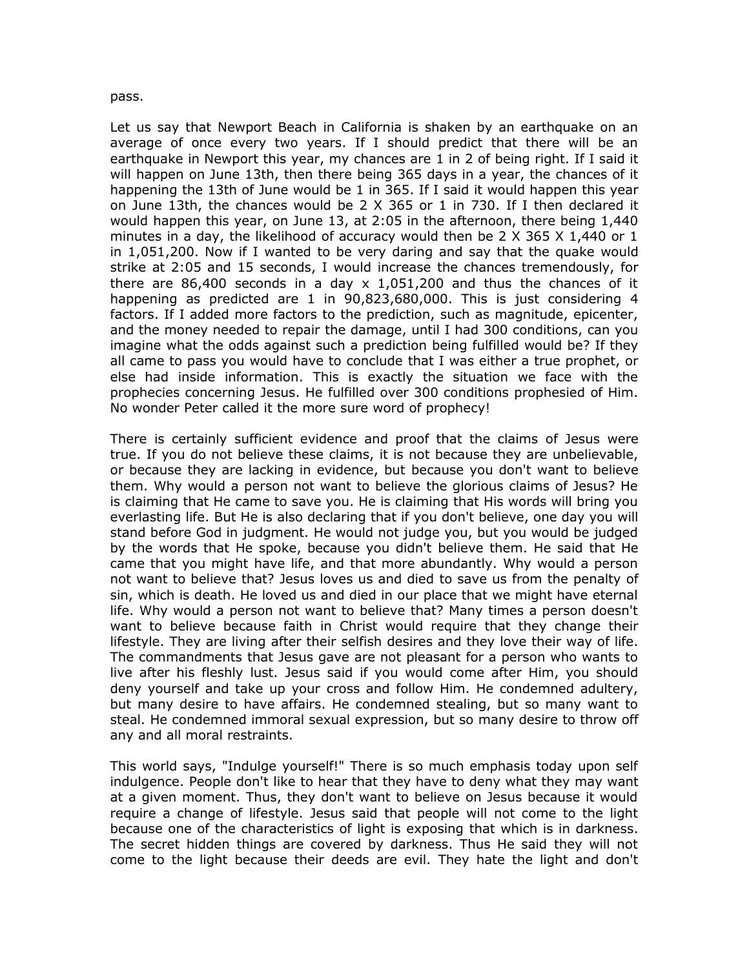## pass.

Let us say that Newport Beach in California is shaken by an earthquake on an average of once every two years. If I should predict that there will be an earthquake in Newport this year, my chances are 1 in 2 of being right. If I said it will happen on June 13th, then there being 365 days in a year, the chances of it happening the 13th of June would be 1 in 365. If I said it would happen this year on June 13th, the chances would be 2 X 365 or 1 in 730. If I then declared it would happen this year, on June 13, at 2:05 in the afternoon, there being 1,440 minutes in a day, the likelihood of accuracy would then be  $2 \times 365 \times 1,440$  or  $1$ in 1,051,200. Now if I wanted to be very daring and say that the quake would strike at 2:05 and 15 seconds, I would increase the chances tremendously, for there are 86,400 seconds in a day  $\times$  1,051,200 and thus the chances of it happening as predicted are 1 in 90,823,680,000. This is just considering 4 factors. If I added more factors to the prediction, such as magnitude, epicenter, and the money needed to repair the damage, until I had 300 conditions, can you imagine what the odds against such a prediction being fulfilled would be? If they all came to pass you would have to conclude that I was either a true prophet, or else had inside information. This is exactly the situation we face with the prophecies concerning Jesus. He fulfilled over 300 conditions prophesied of Him. No wonder Peter called it the more sure word of prophecy!

There is certainly sufficient evidence and proof that the claims of Jesus were true. If you do not believe these claims, it is not because they are unbelievable, or because they are lacking in evidence, but because you don't want to believe them. Why would a person not want to believe the glorious claims of Jesus? He is claiming that He came to save you. He is claiming that His words will bring you everlasting life. But He is also declaring that if you don't believe, one day you will stand before God in judgment. He would not judge you, but you would be judged by the words that He spoke, because you didn't believe them. He said that He came that you might have life, and that more abundantly. Why would a person not want to believe that? Jesus loves us and died to save us from the penalty of sin, which is death. He loved us and died in our place that we might have eternal life. Why would a person not want to believe that? Many times a person doesn't want to believe because faith in Christ would require that they change their lifestyle. They are living after their selfish desires and they love their way of life. The commandments that Jesus gave are not pleasant for a person who wants to live after his fleshly lust. Jesus said if you would come after Him, you should deny yourself and take up your cross and follow Him. He condemned adultery, but many desire to have affairs. He condemned stealing, but so many want to steal. He condemned immoral sexual expression, but so many desire to throw off any and all moral restraints.

This world says, "Indulge yourself!" There is so much emphasis today upon self indulgence. People don't like to hear that they have to deny what they may want at a given moment. Thus, they don't want to believe on Jesus because it would require a change of lifestyle. Jesus said that people will not come to the light because one of the characteristics of light is exposing that which is in darkness. The secret hidden things are covered by darkness. Thus He said they will not come to the light because their deeds are evil. They hate the light and don't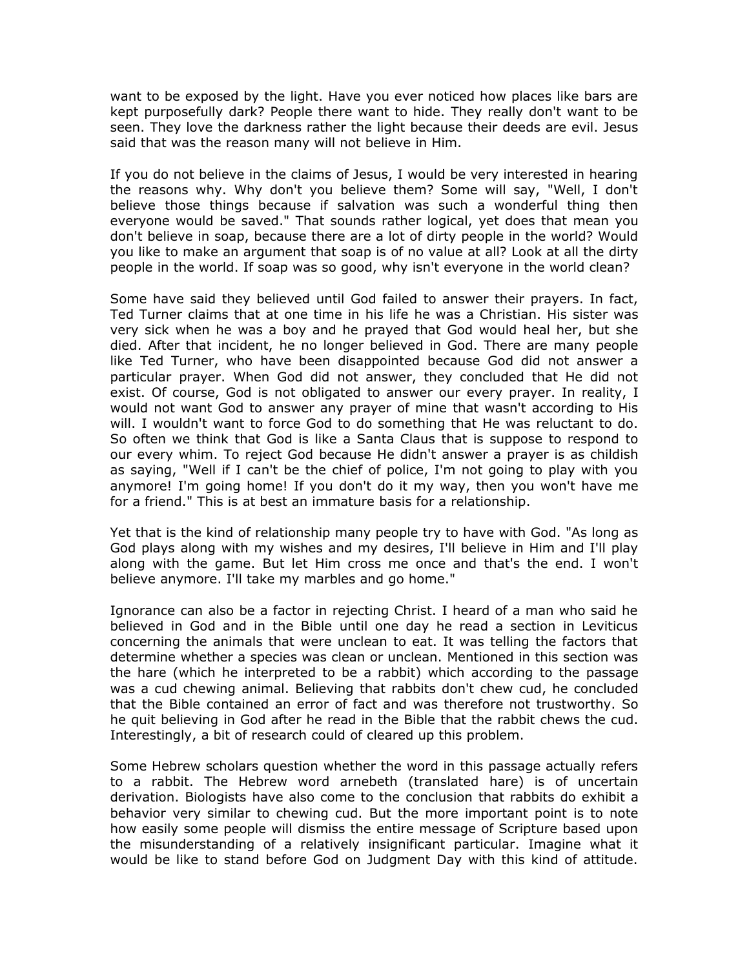want to be exposed by the light. Have you ever noticed how places like bars are kept purposefully dark? People there want to hide. They really don't want to be seen. They love the darkness rather the light because their deeds are evil. Jesus said that was the reason many will not believe in Him.

If you do not believe in the claims of Jesus, I would be very interested in hearing the reasons why. Why don't you believe them? Some will say, "Well, I don't believe those things because if salvation was such a wonderful thing then everyone would be saved." That sounds rather logical, yet does that mean you don't believe in soap, because there are a lot of dirty people in the world? Would you like to make an argument that soap is of no value at all? Look at all the dirty people in the world. If soap was so good, why isn't everyone in the world clean?

Some have said they believed until God failed to answer their prayers. In fact, Ted Turner claims that at one time in his life he was a Christian. His sister was very sick when he was a boy and he prayed that God would heal her, but she died. After that incident, he no longer believed in God. There are many people like Ted Turner, who have been disappointed because God did not answer a particular prayer. When God did not answer, they concluded that He did not exist. Of course, God is not obligated to answer our every prayer. In reality, I would not want God to answer any prayer of mine that wasn't according to His will. I wouldn't want to force God to do something that He was reluctant to do. So often we think that God is like a Santa Claus that is suppose to respond to our every whim. To reject God because He didn't answer a prayer is as childish as saying, "Well if I can't be the chief of police, I'm not going to play with you anymore! I'm going home! If you don't do it my way, then you won't have me for a friend." This is at best an immature basis for a relationship.

Yet that is the kind of relationship many people try to have with God. "As long as God plays along with my wishes and my desires, I'll believe in Him and I'll play along with the game. But let Him cross me once and that's the end. I won't believe anymore. I'll take my marbles and go home."

Ignorance can also be a factor in rejecting Christ. I heard of a man who said he believed in God and in the Bible until one day he read a section in Leviticus concerning the animals that were unclean to eat. It was telling the factors that determine whether a species was clean or unclean. Mentioned in this section was the hare (which he interpreted to be a rabbit) which according to the passage was a cud chewing animal. Believing that rabbits don't chew cud, he concluded that the Bible contained an error of fact and was therefore not trustworthy. So he quit believing in God after he read in the Bible that the rabbit chews the cud. Interestingly, a bit of research could of cleared up this problem.

Some Hebrew scholars question whether the word in this passage actually refers to a rabbit. The Hebrew word arnebeth (translated hare) is of uncertain derivation. Biologists have also come to the conclusion that rabbits do exhibit a behavior very similar to chewing cud. But the more important point is to note how easily some people will dismiss the entire message of Scripture based upon the misunderstanding of a relatively insignificant particular. Imagine what it would be like to stand before God on Judgment Day with this kind of attitude.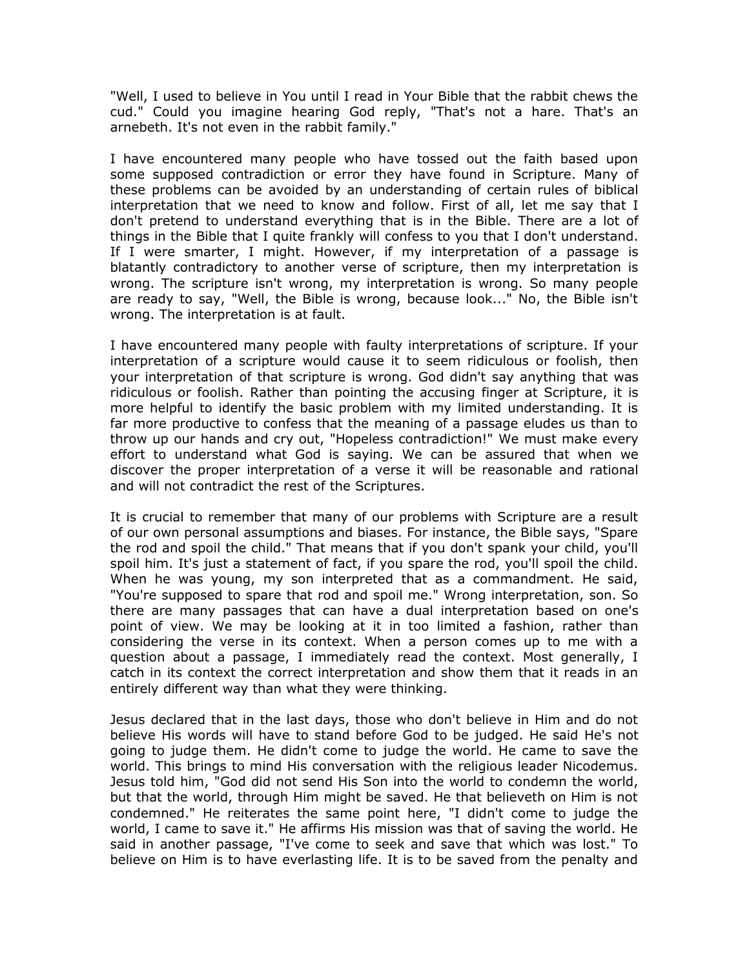"Well, I used to believe in You until I read in Your Bible that the rabbit chews the cud." Could you imagine hearing God reply, "That's not a hare. That's an arnebeth. It's not even in the rabbit family."

I have encountered many people who have tossed out the faith based upon some supposed contradiction or error they have found in Scripture. Many of these problems can be avoided by an understanding of certain rules of biblical interpretation that we need to know and follow. First of all, let me say that I don't pretend to understand everything that is in the Bible. There are a lot of things in the Bible that I quite frankly will confess to you that I don't understand. If I were smarter, I might. However, if my interpretation of a passage is blatantly contradictory to another verse of scripture, then my interpretation is wrong. The scripture isn't wrong, my interpretation is wrong. So many people are ready to say, "Well, the Bible is wrong, because look..." No, the Bible isn't wrong. The interpretation is at fault.

I have encountered many people with faulty interpretations of scripture. If your interpretation of a scripture would cause it to seem ridiculous or foolish, then your interpretation of that scripture is wrong. God didn't say anything that was ridiculous or foolish. Rather than pointing the accusing finger at Scripture, it is more helpful to identify the basic problem with my limited understanding. It is far more productive to confess that the meaning of a passage eludes us than to throw up our hands and cry out, "Hopeless contradiction!" We must make every effort to understand what God is saying. We can be assured that when we discover the proper interpretation of a verse it will be reasonable and rational and will not contradict the rest of the Scriptures.

It is crucial to remember that many of our problems with Scripture are a result of our own personal assumptions and biases. For instance, the Bible says, "Spare the rod and spoil the child." That means that if you don't spank your child, you'll spoil him. It's just a statement of fact, if you spare the rod, you'll spoil the child. When he was young, my son interpreted that as a commandment. He said, "You're supposed to spare that rod and spoil me." Wrong interpretation, son. So there are many passages that can have a dual interpretation based on one's point of view. We may be looking at it in too limited a fashion, rather than considering the verse in its context. When a person comes up to me with a question about a passage, I immediately read the context. Most generally, I catch in its context the correct interpretation and show them that it reads in an entirely different way than what they were thinking.

Jesus declared that in the last days, those who don't believe in Him and do not believe His words will have to stand before God to be judged. He said He's not going to judge them. He didn't come to judge the world. He came to save the world. This brings to mind His conversation with the religious leader Nicodemus. Jesus told him, "God did not send His Son into the world to condemn the world, but that the world, through Him might be saved. He that believeth on Him is not condemned." He reiterates the same point here, "I didn't come to judge the world, I came to save it." He affirms His mission was that of saving the world. He said in another passage, "I've come to seek and save that which was lost." To believe on Him is to have everlasting life. It is to be saved from the penalty and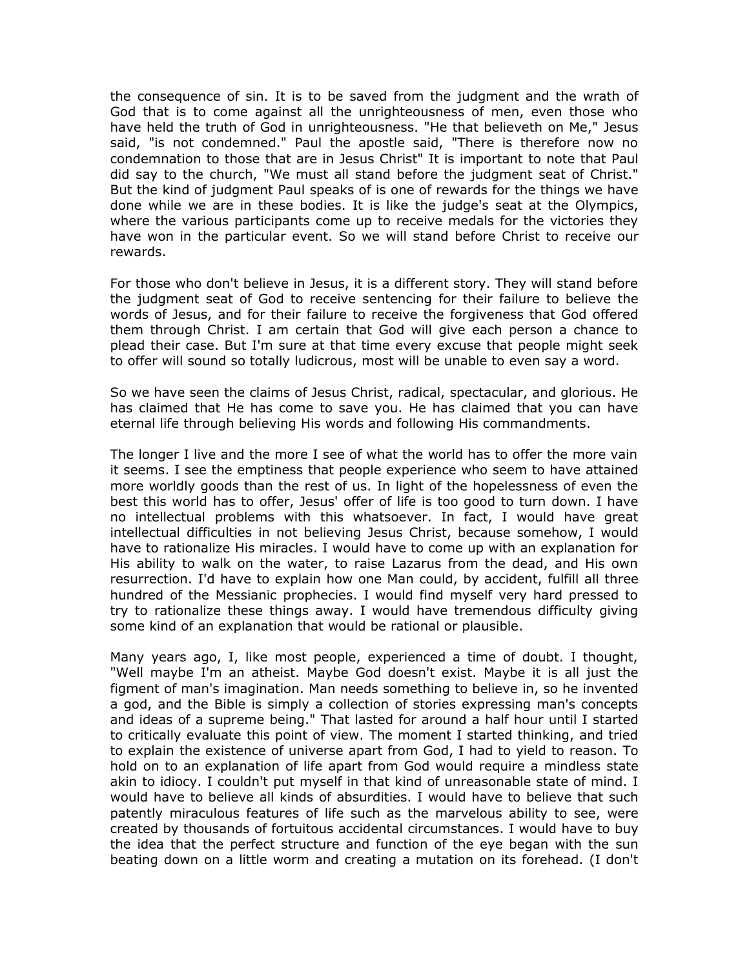the consequence of sin. It is to be saved from the judgment and the wrath of God that is to come against all the unrighteousness of men, even those who have held the truth of God in unrighteousness. "He that believeth on Me," Jesus said, "is not condemned." Paul the apostle said, "There is therefore now no condemnation to those that are in Jesus Christ" It is important to note that Paul did say to the church, "We must all stand before the judgment seat of Christ." But the kind of judgment Paul speaks of is one of rewards for the things we have done while we are in these bodies. It is like the judge's seat at the Olympics, where the various participants come up to receive medals for the victories they have won in the particular event. So we will stand before Christ to receive our rewards.

For those who don't believe in Jesus, it is a different story. They will stand before the judgment seat of God to receive sentencing for their failure to believe the words of Jesus, and for their failure to receive the forgiveness that God offered them through Christ. I am certain that God will give each person a chance to plead their case. But I'm sure at that time every excuse that people might seek to offer will sound so totally ludicrous, most will be unable to even say a word.

So we have seen the claims of Jesus Christ, radical, spectacular, and glorious. He has claimed that He has come to save you. He has claimed that you can have eternal life through believing His words and following His commandments.

The longer I live and the more I see of what the world has to offer the more vain it seems. I see the emptiness that people experience who seem to have attained more worldly goods than the rest of us. In light of the hopelessness of even the best this world has to offer, Jesus' offer of life is too good to turn down. I have no intellectual problems with this whatsoever. In fact, I would have great intellectual difficulties in not believing Jesus Christ, because somehow, I would have to rationalize His miracles. I would have to come up with an explanation for His ability to walk on the water, to raise Lazarus from the dead, and His own resurrection. I'd have to explain how one Man could, by accident, fulfill all three hundred of the Messianic prophecies. I would find myself very hard pressed to try to rationalize these things away. I would have tremendous difficulty giving some kind of an explanation that would be rational or plausible.

Many years ago, I, like most people, experienced a time of doubt. I thought, "Well maybe I'm an atheist. Maybe God doesn't exist. Maybe it is all just the figment of man's imagination. Man needs something to believe in, so he invented a god, and the Bible is simply a collection of stories expressing man's concepts and ideas of a supreme being." That lasted for around a half hour until I started to critically evaluate this point of view. The moment I started thinking, and tried to explain the existence of universe apart from God, I had to yield to reason. To hold on to an explanation of life apart from God would require a mindless state akin to idiocy. I couldn't put myself in that kind of unreasonable state of mind. I would have to believe all kinds of absurdities. I would have to believe that such patently miraculous features of life such as the marvelous ability to see, were created by thousands of fortuitous accidental circumstances. I would have to buy the idea that the perfect structure and function of the eye began with the sun beating down on a little worm and creating a mutation on its forehead. (I don't